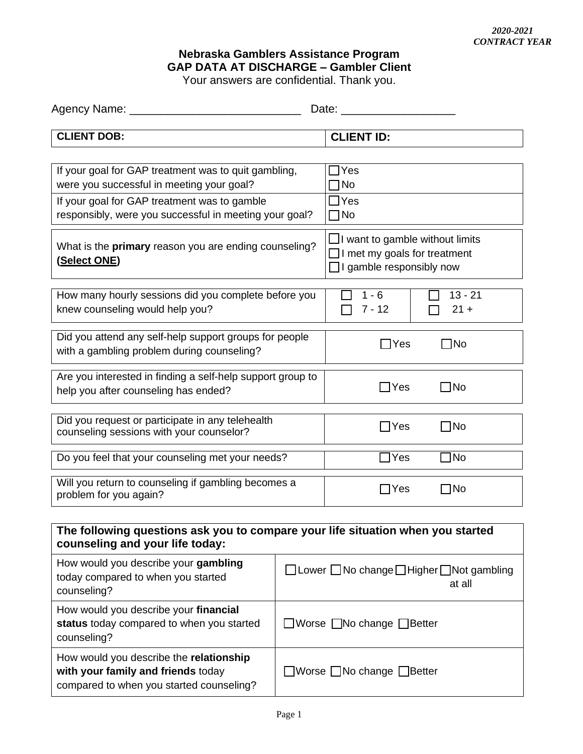## **Nebraska Gamblers Assistance Program GAP DATA AT DISCHARGE – Gambler Client**

Your answers are confidential. Thank you.

| Agency Name:       | Date:             |
|--------------------|-------------------|
|                    |                   |
| <b>CLIENT DOB:</b> | <b>CLIENT ID:</b> |

| If your goal for GAP treatment was to quit gambling,                                    | Yes                                                                                                |  |  |  |  |
|-----------------------------------------------------------------------------------------|----------------------------------------------------------------------------------------------------|--|--|--|--|
| were you successful in meeting your goal?                                               | No.                                                                                                |  |  |  |  |
| If your goal for GAP treatment was to gamble                                            | <b>IYes</b>                                                                                        |  |  |  |  |
| responsibly, were you successful in meeting your goal?                                  | コNo                                                                                                |  |  |  |  |
| What is the <b>primary</b> reason you are ending counseling?<br><u>(Select ONE)</u>     | $\Box$ I want to gamble without limits<br>I met my goals for treatment<br>I gamble responsibly now |  |  |  |  |
| How many hourly sessions did you complete before you<br>knew counseling would help you? | $13 - 21$<br>1 - 6<br>$21 +$<br>7 - 12                                                             |  |  |  |  |
| Did you attend any self-help support groups for people                                  | ∃No                                                                                                |  |  |  |  |
| with a gambling problem during counseling?                                              | Yes                                                                                                |  |  |  |  |
| Are you interested in finding a self-help support group to                              | - INo                                                                                              |  |  |  |  |
| help you after counseling has ended?                                                    | Yes                                                                                                |  |  |  |  |
| Did you request or participate in any telehealth                                        | ∃No                                                                                                |  |  |  |  |
| counseling sessions with your counselor?                                                | Yes                                                                                                |  |  |  |  |
| Do you feel that your counseling met your needs?                                        | $\sqcap$ No<br>Yes                                                                                 |  |  |  |  |
| Will you return to counseling if gambling becomes a                                     | 1No                                                                                                |  |  |  |  |
| problem for you again?                                                                  | Yes                                                                                                |  |  |  |  |

## **The following questions ask you to compare your life situation when you started counseling and your life today:** How would you describe your **gambling** today compared to when you started counseling?  $\Box$  Lower  $\Box$  No change  $\Box$  Higher  $\Box$  Not gambling at all How would you describe your **financial status** today compared to when you started counseling?  $\Box$  Worse  $\Box$  No change  $\Box$  Better How would you describe the **relationship with your family and friends** today compared to when you started counseling?  $\Box$ Worse  $\Box$ No change  $\Box$ Better